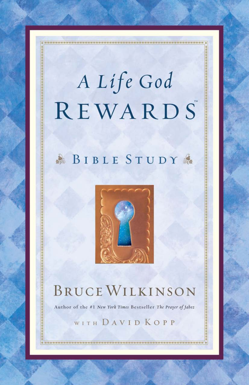# A Life God REWARDS

### **BIBLE STUDY**



# **BRUCE WILKINSON**

Author of the #1 New York Times Bestseller The Prayer of Jabez

WITH DAVID KOPP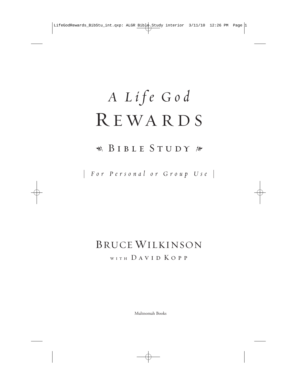# *A Life God* R EWA R DS

# $\frac{1}{2}$  BIBLE STUDY &

*For Personal or Group Use*

## BRUCEWILKINSON with David Kopp

Multnomah Books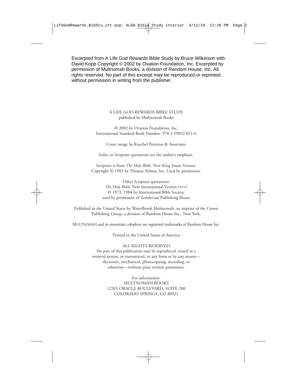Excerpted from A Life God Rewards Bible Study by Bruce Wilkinson with David Kopp Copyright © 2002 by Ovation Foundation, Inc. Excerpted by permission of Multnomah Books, a division of Random House, Inc. All rights reserved. No part of this excerpt may be reproduced or reprinted without permission in writing from the publisher.

#### A LIFE GOD REWARDS BIBLE STUDY published by Multnomah Books

© 2002 by Ovation Foundation, Inc. International Standard Book Number: 978-1-59052-011-6

Cover image by Koechel Peterson & Associates

Italics in Scripture quotations are the author's emphasis.

Scripture is from *The Holy Bible,* New King James Version. Copyright © 1982 by Thomas Nelson, Inc. Used by permission.

> Other Scripture quotations: *The Holy Bible,* New International Version (NIV) © 1973, 1984 by International Bible Society, used by permission of Zondervan Publishing House

Published in the United States by WaterBrook Multnomah, an imprint of the Crown Publishing Group, a division of Random House Inc., New York.

MULTNOMAH and its mountain colophon are registered trademarks of Random House Inc.

Printed in the United States of America

#### ALL RIGHTS RESERVED

No part of this publication may be reproduced, stored in a retrieval system, or transmitted, in any form or by any means electronic, mechanical, photocopying, recording, or otherwise—without prior written permission.

> For information: MULTNOMAH BOOKS 12265 ORACLE BOULEVARD, SUITE 200 COLORADO SPRINGS, CO 80921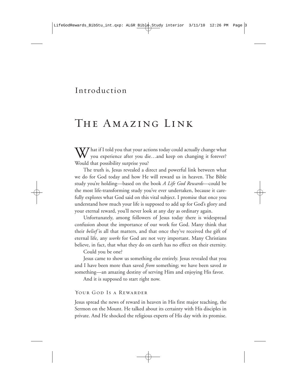### Introduction

### The Amazing Link

 $\rm W\!\!\!\!/$  hat if I told you that your actions today could actually change what you experience after you die…and keep on changing it forever? Would that possibility surprise you?

The truth is, Jesus revealed a direct and powerful link between what we do for God today and how He will reward us in heaven. The Bible study you're holding—based on the book *A Life God Rewards*—could be the most life-transforming study you've ever undertaken, because it carefully explores what God said on this vital subject. I promise that once you understand how much your life is supposed to add up for God's glory and your eternal reward, you'll never look at any day as ordinary again.

Unfortunately, among followers of Jesus today there is widespread confusion about the importance of our work for God. Many think that their *belief* is all that matters, and that once they've received the gift of eternal life, any *works* for God are not very important. Many Christians believe, in fact, that what they do on earth has no effect on their eternity.

Could you be one?

Jesus came to show us something else entirely. Jesus revealed that you and I have been more than saved *from* something; we have been saved *to* something—an amazing destiny of serving Him and enjoying His favor.

And it is supposed to start right now.

### YOUR GOD IS A REWARDER

Jesus spread the news of reward in heaven in His first major teaching, the Sermon on the Mount. He talked about its certainty with His disciples in private. And He shocked the religious experts of His day with its promise.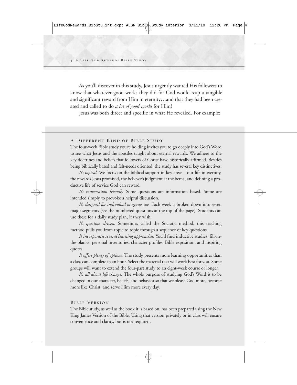As you'll discover in this study, Jesus urgently wanted His followers to know that whatever good works they did for God would reap a tangible and significant reward from Him in eternity…and that they had been created and called to do *a lot of good works* for Him!

Jesus was both direct and specific in what He revealed. For example:

#### A Different Kind of Bible Study

The four-week Bible study you're holding invites you to go deeply into God's Word to see what Jesus and the apostles taught about eternal rewards. We adhere to the key doctrines and beliefs that followers of Christ have historically affirmed. Besides being biblically based and felt-needs oriented, the study has several key distinctives:

*It's topical.* We focus on the biblical support in key areas—our life in eternity, the rewards Jesus promised, the believer's judgment at the bema, and defining a productive life of service God can reward.

*It's conversation friendly.* Some questions are information based. Some are intended simply to provoke a helpful discussion.

*It's designed for individual or group use.* Each week is broken down into seven major segments (see the numbered questions at the top of the page). Students can use these for a daily study plan, if they wish.

*It's question driven.* Sometimes called the Socratic method, this teaching method pulls you from topic to topic through a sequence of key questions.

*It incorporates several learning approaches.* You'll find inductive studies, fill-inthe-blanks, personal inventories, character profiles, Bible exposition, and inspiring quotes.

*It offers plenty of options.* The study presents more learning opportunities than a class can complete in an hour. Select the material that will work best for you. Some groups will want to extend the four-part study to an eight-week course or longer.

*It's all about life change.* The whole purpose of studying God's Word is to be changed in our character, beliefs, and behavior so that we please God more, become more like Christ, and serve Him more every day.

#### Bible Version

The Bible study, as well as the book it is based on, has been prepared using the New King James Version of the Bible. Using that version privately or in class will ensure convenience and clarity, but is not required.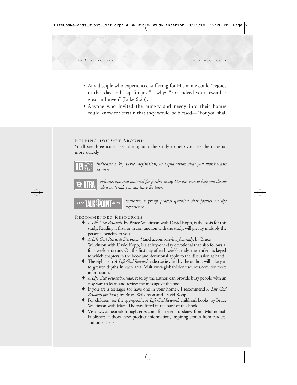- Any disciple who experienced suffering for His name could "rejoice in that day and leap for joy!"—why? "For indeed your reward is great in heaven" (Luke 6:23).
- Anyone who invited the hungry and needy into their homes could know for certain that they would be blessed—"For you shall

#### Helping You Get Around

You'll see three icons used throughout the study to help you use the material more quickly.



*indicates a key verse, definition, or explanation that you won't want to miss.*



*indicates optional material for further study. Use this icon to help you decide what materials you can leave for later.*

### <u>"" TALK POINT</u>

*indicates a group process question that focuses on life experience.*

#### Recommended Resources

- ♦ *A Life God Rewards,* by Bruce Wilkinson with David Kopp, is the basis for this study. Reading it first, or in conjunction with the study, will greatly multiply the personal benefits to you.
- ♦ *A Life God Rewards Devotional* (and accompanying *Journal*), by Bruce Wilkinson with David Kopp, is a thirty-one-day devotional that also follows a four-week structure. On the first day of each week's study, the student is keyed to which chapters in the book and devotional apply to the discussion at hand.
- ♦ The eight-part *A Life God Rewards* video series*,* led by the author, will take you to greater depths in each area. Visit www.globalvisionresources.com for more information.
- ♦ *A Life God Rewards Audio,* read by the author, can provide busy people with an easy way to learn and review the message of the book.
- ♦ If you are a teenager (or have one in your home), I recommend *A Life God Rewards for Teens,* by Bruce Wilkinson and David Kopp*.*
- ♦ For children, see the age-specific *A Life God Rewards* children's books, by Bruce Wilkinson with Mack Thomas, listed in the back of this book.
- ♦ Visit www.thebreakthroughseries.com for recent updates from Multnomah Publishers authors, new product information, inspiring stories from readers, and other help.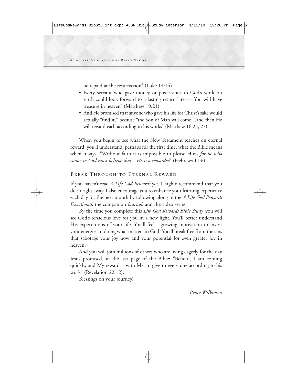be repaid at the resurrection" (Luke 14:14).

- Every servant who gave money or possessions to God's work on earth could look forward to a lasting return later—"You will have treasure in heaven" (Matthew 19:21).
- And He promised that anyone who gave his life for Christ's sake would actually "find it," because "the Son of Man will come…and then He will reward each according to his works" (Matthew 16:25, 27).

When you begin to see what the New Testament teaches on eternal reward, you'll understand, perhaps for the first time, what the Bible means when it says, "Without faith it is impossible to please Him, *for he who comes to God must believe that…He is a rewarder*" (Hebrews 11:6).

#### Break Through to Eternal Reward

If you haven't read *A Life God Rewards* yet, I highly recommend that you do so right away. I also encourage you to enhance your learning experience each day for the next month by following along in the *A Life God Rewards Devotional,* the companion *Journal,* and the video series.

By the time you complete this *Life God Rewards Bible Study,* you will see God's tenacious love for you in a new light. You'll better understand His expectations of your life. You'll feel a growing motivation to invest your energies in doing what matters to God. You'll break free from the sins that sabotage your joy now and your potential for even greater joy in heaven.

And you will join millions of others who are living eagerly for the day Jesus promised on the last page of the Bible: "Behold, I am coming quickly, and My reward is with Me, to give to every one according to his work" (Revelation 22:12).

Blessings on your journey!

—*Bruce Wilkinson*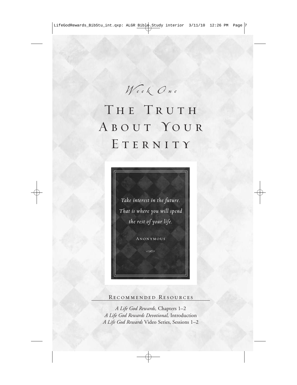Week One

# THE TRUTH A B O U T YOUR ETERNITY



### Recommended Resources

*A Life God Rewards,* Chapters 1–2 *A Life God Rewards Devotional,* Introduction *A Life God Rewards* Video Series, Sessions 1–2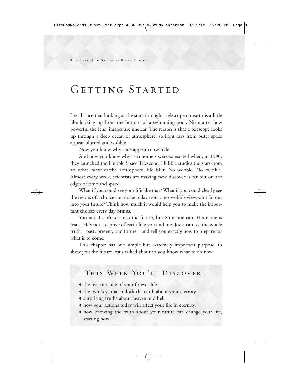## GETTING STARTED

I read once that looking at the stars through a telescope on earth is a little like looking up from the bottom of a swimming pool. No matter how powerful the lens, images are unclear. The reason is that a telescope looks up through a deep ocean of atmosphere, so light rays from outer space appear blurred and wobbly.

Now you know why stars appear to twinkle.

And now you know why astronomers were so excited when, in 1990, they launched the Hubble Space Telescope. Hubble studies the stars from an orbit *above* earth's atmosphere. No blur. No wobble. No twinkle. Almost every week, scientists are making new discoveries far out on the edges of time and space.

What if you could see your life like that? What if you could clearly see the results of a choice you make today from a no-wobble viewpoint far out into your future? Think how much it would help you to make the important choices every day brings.

You and I can't see into the future, but Someone can. His name is Jesus. He's not a captive of earth like you and me. Jesus can see the whole truth—past, present, and future—and tell you exactly how to prepare for what is to come.

This chapter has one simple but extremely important purpose: to show you the future Jesus talked about so you know what to do now.

### THIS WEEK YOU'LL DISCOVER...

- ♦ the real timeline of your forever life.
- ♦ the two keys that unlock the truth about your eternity.
- ♦ surprising truths about heaven and hell.
- ♦ how your actions today will affect your life in eternity.
- ♦ how knowing the truth about your future can change your life, starting now.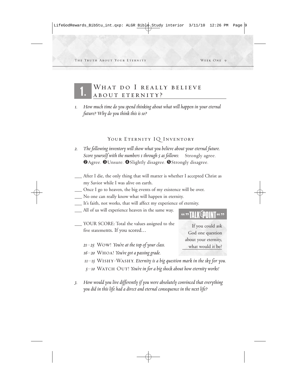#### What do I really believe about eternity? 1.

*1. How much time do you spend thinking about what will happen in your eternal future? Why do you think this is so?*

### YOUR ETERNITY IQ INVENTORY

- *2. The following inventory will show what you believe about your eternal future. Score yourself with the numbers 1 through 5 as follows:* Strongly agree. ➋Agree. ➌Unsure. ➍Slightly disagree. ➎Strongly disagree.
- \_\_\_ After I die, the only thing that will matter is whether I accepted Christ as my Savior while I was alive on earth.
- \_\_\_ Once I go to heaven, the big events of my existence will be over.
- \_\_\_ No one can really know what will happen in eternity.
- \_\_\_ It's faith, not works, that will affect my experience of eternity.
- \_\_\_ All of us will experience heaven in the same way.
- \_\_\_ YOUR SCORE: Total the values assigned to the five statements. If you scored...

If you could ask God one question about your eternity, what would it be?

**''T** cc 95

- *21–25* Wow! *You're at the top of your class. 16–20* Whoa! *You've got a passing grade.*
- *11–15* Wishy-Washy. *Eternity is a big question mark in the sky for you. 5–10* Watch Out! *You're in for a big shock about how eternity works!*
- *3. How would you live differently if you were absolutely convinced that everything you did in this life had a direct and eternal consequence in the next life?*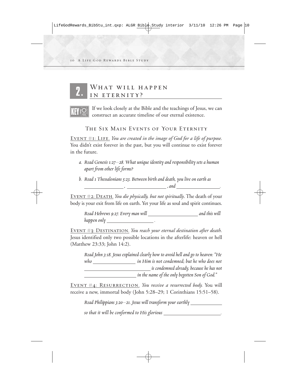### WHAT WILL HAPPEN in eternity? 2.



If we look closely at the Bible and the teachings of Jesus, we can construct an accurate timeline of our eternal existence.

### The Six Main Events of Your Eternity

EVENT #1: LIFE. *You are created in the image of God for a life of purpose*. You didn't exist forever in the past, but you will continue to exist forever in the future.

- *a. Read Genesis 1:27–28. What unique identity and responsibility sets a human apart from other life forms?*
- *b. Read 1 Thessalonians 5:23. Between birth and death, you live on earth as , , and .*

Event #2: Death. *You die physically, but not spiritually*. The death of your body is your exit from life on earth. Yet your life as soul and spirit continues.

*Read Hebrews 9:27. Every man will and this will happen only .*

EVENT #3: DESTINATION. *You reach your eternal destination after death*. Jesus identified only two possible locations in the afterlife: heaven or hell (Matthew 23:33; John 14:2).

*Read John 3:18. Jesus explained clearly how to avoid hell and go to heaven: "He who in Him is not condemned; but he who does not is condemned already, because he has not in the name of the only begotten Son of God."*

EVENT #4: RESURRECTION. *You receive a resurrected body*. You will receive a new, immortal body (John 5:28–29; 1 Corinthians 15:51–58).

*Read Philippians 3:20–21. Jesus will transform your earthly* 

*so that it will be conformed to His glorious .*